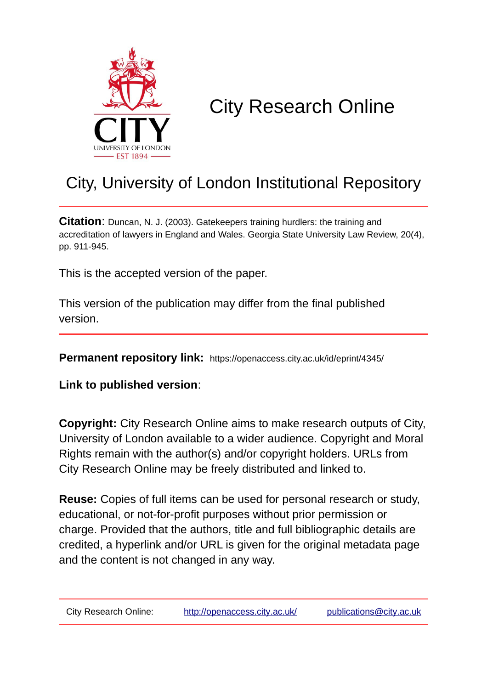

# City Research Online

# City, University of London Institutional Repository

**Citation**: Duncan, N. J. (2003). Gatekeepers training hurdlers: the training and accreditation of lawyers in England and Wales. Georgia State University Law Review, 20(4), pp. 911-945.

This is the accepted version of the paper.

This version of the publication may differ from the final published version.

**Permanent repository link:** https://openaccess.city.ac.uk/id/eprint/4345/

**Link to published version**:

**Copyright:** City Research Online aims to make research outputs of City, University of London available to a wider audience. Copyright and Moral Rights remain with the author(s) and/or copyright holders. URLs from City Research Online may be freely distributed and linked to.

**Reuse:** Copies of full items can be used for personal research or study, educational, or not-for-profit purposes without prior permission or charge. Provided that the authors, title and full bibliographic details are credited, a hyperlink and/or URL is given for the original metadata page and the content is not changed in any way.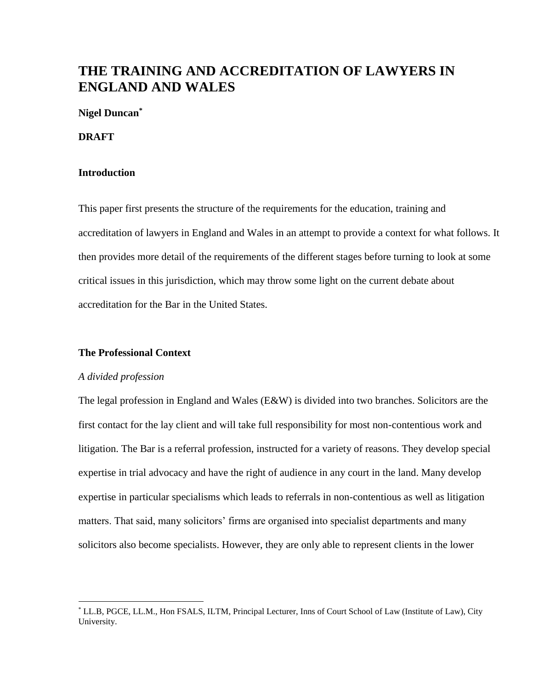# **THE TRAINING AND ACCREDITATION OF LAWYERS IN ENGLAND AND WALES**

## **Nigel Duncan\***

### **DRAFT**

## **Introduction**

This paper first presents the structure of the requirements for the education, training and accreditation of lawyers in England and Wales in an attempt to provide a context for what follows. It then provides more detail of the requirements of the different stages before turning to look at some critical issues in this jurisdiction, which may throw some light on the current debate about accreditation for the Bar in the United States.

## **The Professional Context**

## *A divided profession*

 $\overline{a}$ 

The legal profession in England and Wales (E&W) is divided into two branches. Solicitors are the first contact for the lay client and will take full responsibility for most non-contentious work and litigation. The Bar is a referral profession, instructed for a variety of reasons. They develop special expertise in trial advocacy and have the right of audience in any court in the land. Many develop expertise in particular specialisms which leads to referrals in non-contentious as well as litigation matters. That said, many solicitors' firms are organised into specialist departments and many solicitors also become specialists. However, they are only able to represent clients in the lower

<sup>\*</sup> LL.B, PGCE, LL.M., Hon FSALS, ILTM, Principal Lecturer, Inns of Court School of Law (Institute of Law), City University.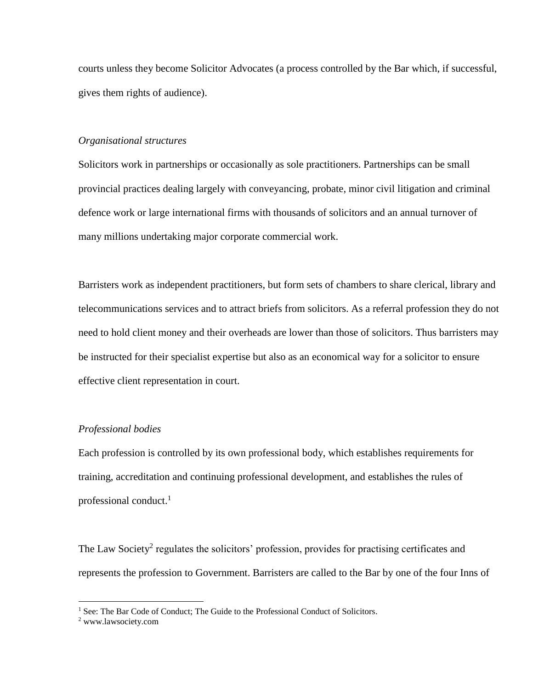courts unless they become Solicitor Advocates (a process controlled by the Bar which, if successful, gives them rights of audience).

## *Organisational structures*

Solicitors work in partnerships or occasionally as sole practitioners. Partnerships can be small provincial practices dealing largely with conveyancing, probate, minor civil litigation and criminal defence work or large international firms with thousands of solicitors and an annual turnover of many millions undertaking major corporate commercial work.

Barristers work as independent practitioners, but form sets of chambers to share clerical, library and telecommunications services and to attract briefs from solicitors. As a referral profession they do not need to hold client money and their overheads are lower than those of solicitors. Thus barristers may be instructed for their specialist expertise but also as an economical way for a solicitor to ensure effective client representation in court.

## *Professional bodies*

Each profession is controlled by its own professional body, which establishes requirements for training, accreditation and continuing professional development, and establishes the rules of professional conduct. $<sup>1</sup>$ </sup>

The Law Society<sup>2</sup> regulates the solicitors' profession, provides for practising certificates and represents the profession to Government. Barristers are called to the Bar by one of the four Inns of

<sup>&</sup>lt;sup>1</sup> See: The Bar Code of Conduct; The Guide to the Professional Conduct of Solicitors.

<sup>2</sup> www.lawsociety.com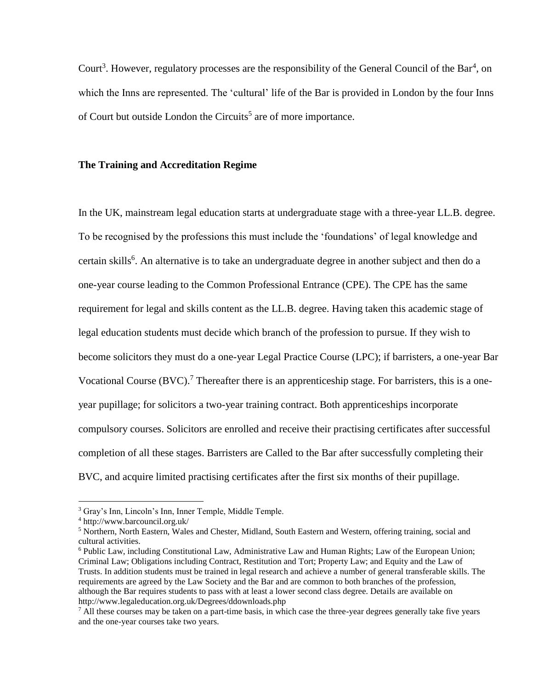Court<sup>3</sup>. However, regulatory processes are the responsibility of the General Council of the Bar<sup>4</sup>, on which the Inns are represented. The 'cultural' life of the Bar is provided in London by the four Inns of Court but outside London the Circuits<sup>5</sup> are of more importance.

## **The Training and Accreditation Regime**

In the UK, mainstream legal education starts at undergraduate stage with a three-year LL.B. degree. To be recognised by the professions this must include the 'foundations' of legal knowledge and certain skills<sup>6</sup>. An alternative is to take an undergraduate degree in another subject and then do a one-year course leading to the Common Professional Entrance (CPE). The CPE has the same requirement for legal and skills content as the LL.B. degree. Having taken this academic stage of legal education students must decide which branch of the profession to pursue. If they wish to become solicitors they must do a one-year Legal Practice Course (LPC); if barristers, a one-year Bar Vocational Course  $(BVC)$ .<sup>7</sup> Thereafter there is an apprenticeship stage. For barristers, this is a oneyear pupillage; for solicitors a two-year training contract. Both apprenticeships incorporate compulsory courses. Solicitors are enrolled and receive their practising certificates after successful completion of all these stages. Barristers are Called to the Bar after successfully completing their BVC, and acquire limited practising certificates after the first six months of their pupillage.

<sup>3</sup> Gray's Inn, Lincoln's Inn, Inner Temple, Middle Temple.

<sup>4</sup> http://www.barcouncil.org.uk/

 $<sup>5</sup>$  Northern, North Eastern, Wales and Chester, Midland, South Eastern and Western, offering training, social and</sup> cultural activities.

<sup>6</sup> Public Law, including Constitutional Law, Administrative Law and Human Rights; Law of the European Union; Criminal Law; Obligations including Contract, Restitution and Tort; Property Law; and Equity and the Law of Trusts. In addition students must be trained in legal research and achieve a number of general transferable skills. The requirements are agreed by the Law Society and the Bar and are common to both branches of the profession, although the Bar requires students to pass with at least a lower second class degree. Details are available on http://www.legaleducation.org.uk/Degrees/ddownloads.php

 $^7$  All these courses may be taken on a part-time basis, in which case the three-year degrees generally take five years and the one-year courses take two years.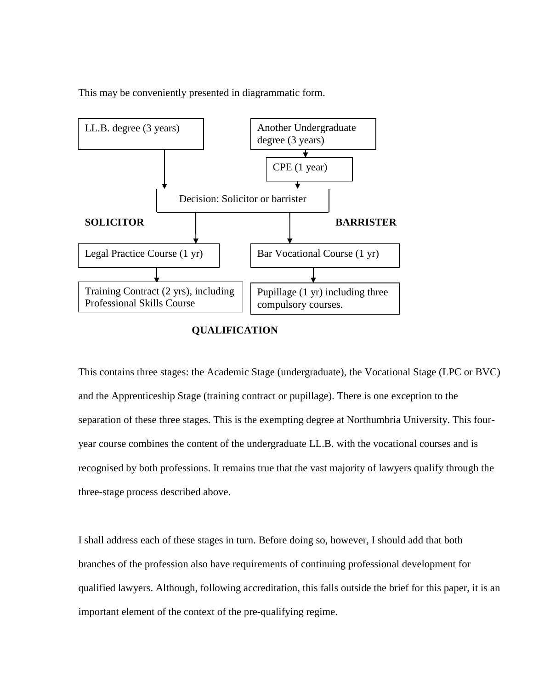This may be conveniently presented in diagrammatic form.



# **QUALIFICATION**

This contains three stages: the Academic Stage (undergraduate), the Vocational Stage (LPC or BVC) and the Apprenticeship Stage (training contract or pupillage). There is one exception to the separation of these three stages. This is the exempting degree at Northumbria University. This fouryear course combines the content of the undergraduate LL.B. with the vocational courses and is recognised by both professions. It remains true that the vast majority of lawyers qualify through the three-stage process described above.

I shall address each of these stages in turn. Before doing so, however, I should add that both branches of the profession also have requirements of continuing professional development for qualified lawyers. Although, following accreditation, this falls outside the brief for this paper, it is an important element of the context of the pre-qualifying regime.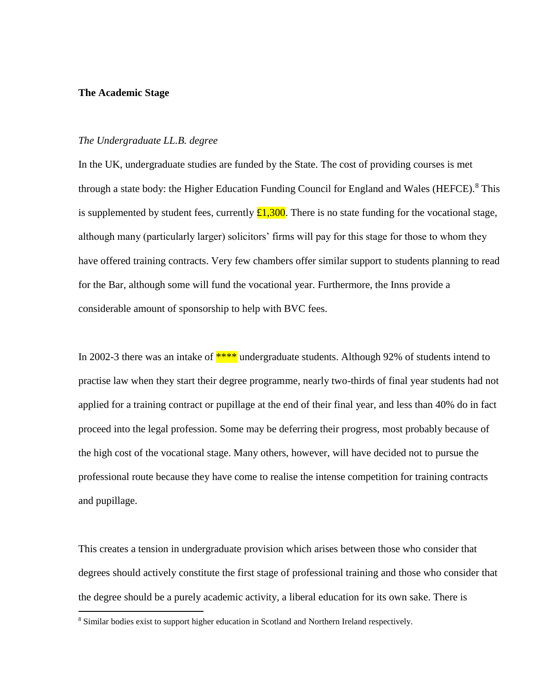## **The Academic Stage**

 $\overline{a}$ 

## *The Undergraduate LL.B. degree*

In the UK, undergraduate studies are funded by the State. The cost of providing courses is met through a state body: the Higher Education Funding Council for England and Wales (HEFCE).<sup>8</sup> This is supplemented by student fees, currently  $\pounds1,300$ . There is no state funding for the vocational stage, although many (particularly larger) solicitors' firms will pay for this stage for those to whom they have offered training contracts. Very few chambers offer similar support to students planning to read for the Bar, although some will fund the vocational year. Furthermore, the Inns provide a considerable amount of sponsorship to help with BVC fees.

In 2002-3 there was an intake of  $***$  undergraduate students. Although 92% of students intend to practise law when they start their degree programme, nearly two-thirds of final year students had not applied for a training contract or pupillage at the end of their final year, and less than 40% do in fact proceed into the legal profession. Some may be deferring their progress, most probably because of the high cost of the vocational stage. Many others, however, will have decided not to pursue the professional route because they have come to realise the intense competition for training contracts and pupillage.

This creates a tension in undergraduate provision which arises between those who consider that degrees should actively constitute the first stage of professional training and those who consider that the degree should be a purely academic activity, a liberal education for its own sake. There is

<sup>8</sup> Similar bodies exist to support higher education in Scotland and Northern Ireland respectively.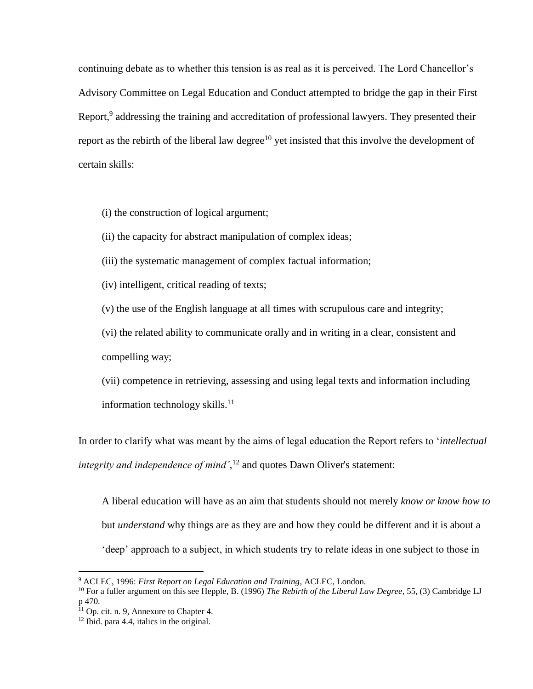continuing debate as to whether this tension is as real as it is perceived. The Lord Chancellor's Advisory Committee on Legal Education and Conduct attempted to bridge the gap in their First Report,<sup>9</sup> addressing the training and accreditation of professional lawyers. They presented their report as the rebirth of the liberal law degree<sup>10</sup> yet insisted that this involve the development of certain skills:

(i) the construction of logical argument;

(ii) the capacity for abstract manipulation of complex ideas;

(iii) the systematic management of complex factual information;

(iv) intelligent, critical reading of texts;

(v) the use of the English language at all times with scrupulous care and integrity;

(vi) the related ability to communicate orally and in writing in a clear, consistent and compelling way;

(vii) competence in retrieving, assessing and using legal texts and information including information technology skills. $^{11}$ 

In order to clarify what was meant by the aims of legal education the Report refers to '*intellectual integrity and independence of mind'*, <sup>12</sup> and quotes Dawn Oliver's statement:

A liberal education will have as an aim that students should not merely *know or know how to*  but *understand* why things are as they are and how they could be different and it is about a 'deep' approach to a subject, in which students try to relate ideas in one subject to those in

<sup>9</sup> ACLEC, 1996: *First Report on Legal Education and Training*, ACLEC, London.

<sup>10</sup> For a fuller argument on this see Hepple, B. (1996) *The Rebirth of the Liberal Law Degree*, 55, (3) Cambridge LJ p 470.

 $11$  Op. cit. n. 9. Annexure to Chapter 4.

<sup>12</sup> Ibid. para 4.4, italics in the original.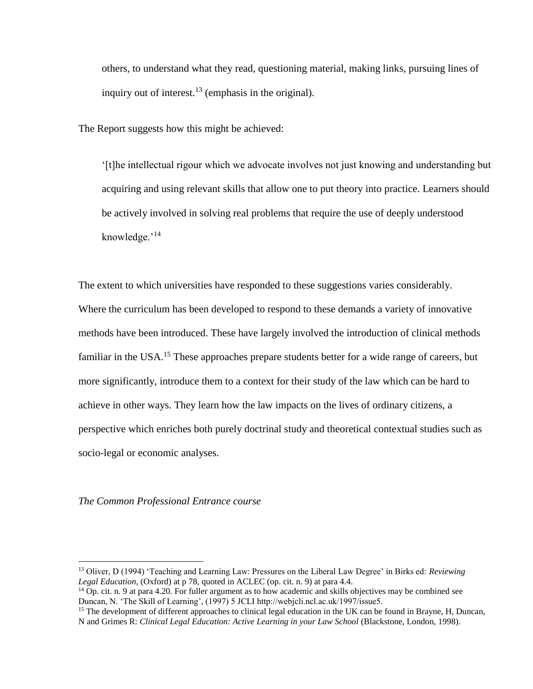others, to understand what they read, questioning material, making links, pursuing lines of inquiry out of interest.<sup>13</sup> (emphasis in the original).

The Report suggests how this might be achieved:

'[t]he intellectual rigour which we advocate involves not just knowing and understanding but acquiring and using relevant skills that allow one to put theory into practice. Learners should be actively involved in solving real problems that require the use of deeply understood knowledge.'<sup>14</sup>

The extent to which universities have responded to these suggestions varies considerably. Where the curriculum has been developed to respond to these demands a variety of innovative methods have been introduced. These have largely involved the introduction of clinical methods familiar in the USA.<sup>15</sup> These approaches prepare students better for a wide range of careers, but more significantly, introduce them to a context for their study of the law which can be hard to achieve in other ways. They learn how the law impacts on the lives of ordinary citizens, a perspective which enriches both purely doctrinal study and theoretical contextual studies such as socio-legal or economic analyses.

*The Common Professional Entrance course*

<sup>13</sup> Oliver, D (1994) 'Teaching and Learning Law: Pressures on the Liberal Law Degree' in Birks ed: *Reviewing Legal Education*, (Oxford) at p 78, quoted in ACLEC (op. cit. n. 9) at para 4.4.

 $14$  Op. cit. n. 9 at para 4.20. For fuller argument as to how academic and skills objectives may be combined see Duncan, N. 'The Skill of Learning', (1997) 5 JCLI http://webjcli.ncl.ac.uk/1997/issue5.

<sup>&</sup>lt;sup>15</sup> The development of different approaches to clinical legal education in the UK can be found in Brayne, H, Duncan, N and Grimes R: *Clinical Legal Education: Active Learning in your Law School* (Blackstone, London, 1998).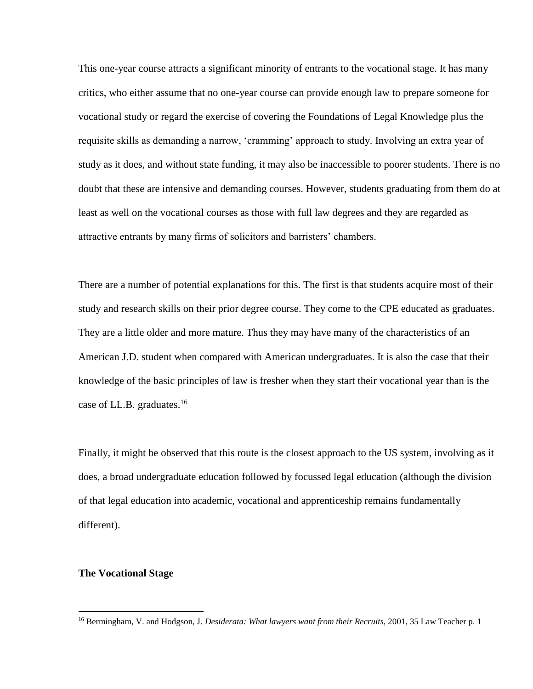This one-year course attracts a significant minority of entrants to the vocational stage. It has many critics, who either assume that no one-year course can provide enough law to prepare someone for vocational study or regard the exercise of covering the Foundations of Legal Knowledge plus the requisite skills as demanding a narrow, 'cramming' approach to study. Involving an extra year of study as it does, and without state funding, it may also be inaccessible to poorer students. There is no doubt that these are intensive and demanding courses. However, students graduating from them do at least as well on the vocational courses as those with full law degrees and they are regarded as attractive entrants by many firms of solicitors and barristers' chambers.

There are a number of potential explanations for this. The first is that students acquire most of their study and research skills on their prior degree course. They come to the CPE educated as graduates. They are a little older and more mature. Thus they may have many of the characteristics of an American J.D. student when compared with American undergraduates. It is also the case that their knowledge of the basic principles of law is fresher when they start their vocational year than is the case of LL.B. graduates.<sup>16</sup>

Finally, it might be observed that this route is the closest approach to the US system, involving as it does, a broad undergraduate education followed by focussed legal education (although the division of that legal education into academic, vocational and apprenticeship remains fundamentally different).

## **The Vocational Stage**

<sup>&</sup>lt;sup>16</sup> Bermingham, V. and Hodgson, J. *Desiderata: What lawyers want from their Recruits*, 2001, 35 Law Teacher p. 1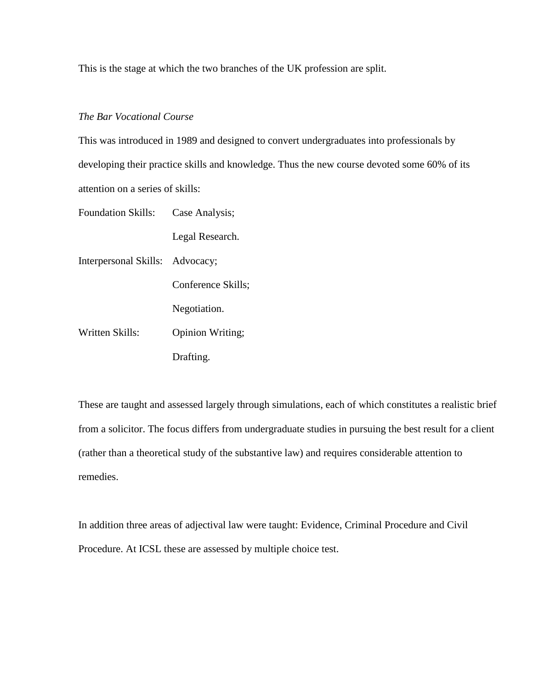This is the stage at which the two branches of the UK profession are split.

# *The Bar Vocational Course*

This was introduced in 1989 and designed to convert undergraduates into professionals by developing their practice skills and knowledge. Thus the new course devoted some 60% of its attention on a series of skills:

| Foundation Skills:              | Case Analysis;     |
|---------------------------------|--------------------|
| Interpersonal Skills: Advocacy; | Legal Research.    |
|                                 |                    |
|                                 | Conference Skills; |
| Written Skills:                 | Negotiation.       |
|                                 | Opinion Writing;   |
|                                 | Drafting.          |

These are taught and assessed largely through simulations, each of which constitutes a realistic brief from a solicitor. The focus differs from undergraduate studies in pursuing the best result for a client (rather than a theoretical study of the substantive law) and requires considerable attention to remedies.

In addition three areas of adjectival law were taught: Evidence, Criminal Procedure and Civil Procedure. At ICSL these are assessed by multiple choice test.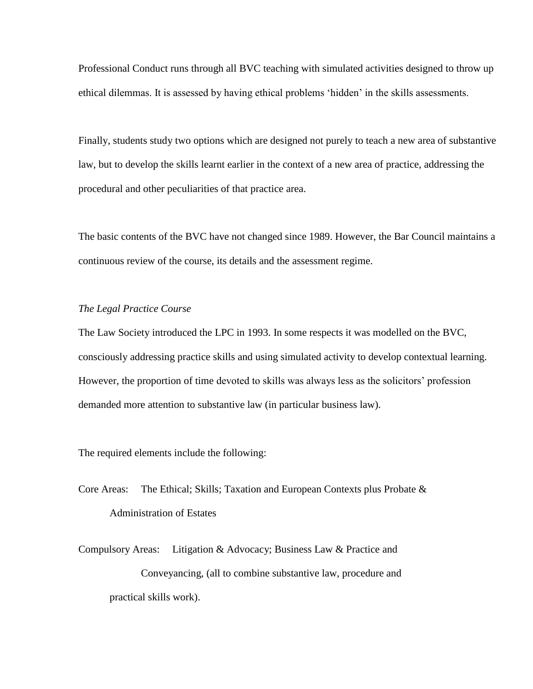Professional Conduct runs through all BVC teaching with simulated activities designed to throw up ethical dilemmas. It is assessed by having ethical problems 'hidden' in the skills assessments.

Finally, students study two options which are designed not purely to teach a new area of substantive law, but to develop the skills learnt earlier in the context of a new area of practice, addressing the procedural and other peculiarities of that practice area.

The basic contents of the BVC have not changed since 1989. However, the Bar Council maintains a continuous review of the course, its details and the assessment regime.

# *The Legal Practice Course*

The Law Society introduced the LPC in 1993. In some respects it was modelled on the BVC, consciously addressing practice skills and using simulated activity to develop contextual learning. However, the proportion of time devoted to skills was always less as the solicitors' profession demanded more attention to substantive law (in particular business law).

The required elements include the following:

- Core Areas: The Ethical; Skills; Taxation and European Contexts plus Probate & Administration of Estates
- Compulsory Areas: Litigation & Advocacy; Business Law & Practice and Conveyancing, (all to combine substantive law, procedure and practical skills work).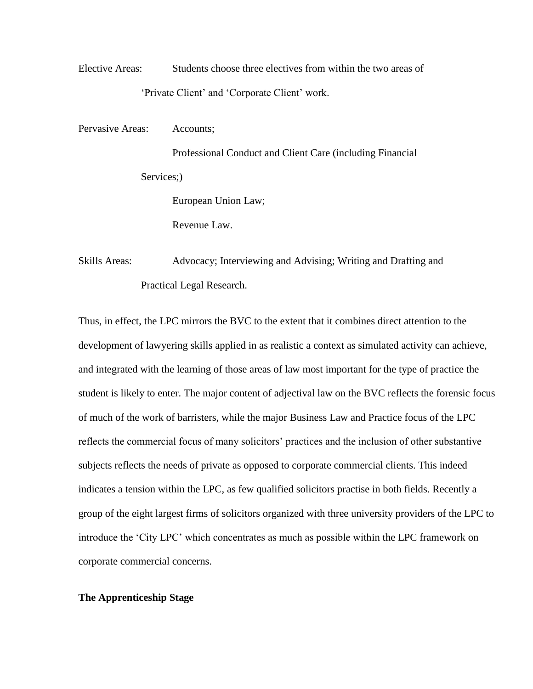Elective Areas: Students choose three electives from within the two areas of 'Private Client' and 'Corporate Client' work.

Pervasive Areas: Accounts;

Professional Conduct and Client Care (including Financial Services:) European Union Law; Revenue Law.

Skills Areas: Advocacy; Interviewing and Advising; Writing and Drafting and Practical Legal Research.

Thus, in effect, the LPC mirrors the BVC to the extent that it combines direct attention to the development of lawyering skills applied in as realistic a context as simulated activity can achieve, and integrated with the learning of those areas of law most important for the type of practice the student is likely to enter. The major content of adjectival law on the BVC reflects the forensic focus of much of the work of barristers, while the major Business Law and Practice focus of the LPC reflects the commercial focus of many solicitors' practices and the inclusion of other substantive subjects reflects the needs of private as opposed to corporate commercial clients. This indeed indicates a tension within the LPC, as few qualified solicitors practise in both fields. Recently a group of the eight largest firms of solicitors organized with three university providers of the LPC to introduce the 'City LPC' which concentrates as much as possible within the LPC framework on corporate commercial concerns.

# **The Apprenticeship Stage**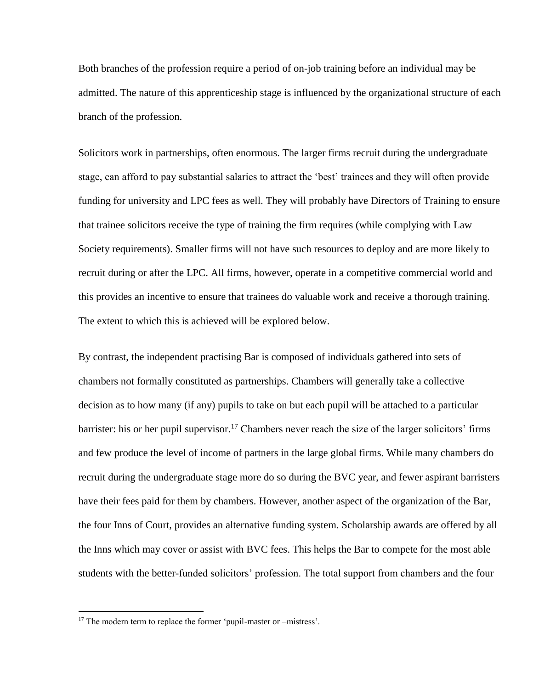Both branches of the profession require a period of on-job training before an individual may be admitted. The nature of this apprenticeship stage is influenced by the organizational structure of each branch of the profession.

Solicitors work in partnerships, often enormous. The larger firms recruit during the undergraduate stage, can afford to pay substantial salaries to attract the 'best' trainees and they will often provide funding for university and LPC fees as well. They will probably have Directors of Training to ensure that trainee solicitors receive the type of training the firm requires (while complying with Law Society requirements). Smaller firms will not have such resources to deploy and are more likely to recruit during or after the LPC. All firms, however, operate in a competitive commercial world and this provides an incentive to ensure that trainees do valuable work and receive a thorough training. The extent to which this is achieved will be explored below.

By contrast, the independent practising Bar is composed of individuals gathered into sets of chambers not formally constituted as partnerships. Chambers will generally take a collective decision as to how many (if any) pupils to take on but each pupil will be attached to a particular barrister: his or her pupil supervisor.<sup>17</sup> Chambers never reach the size of the larger solicitors' firms and few produce the level of income of partners in the large global firms. While many chambers do recruit during the undergraduate stage more do so during the BVC year, and fewer aspirant barristers have their fees paid for them by chambers. However, another aspect of the organization of the Bar, the four Inns of Court, provides an alternative funding system. Scholarship awards are offered by all the Inns which may cover or assist with BVC fees. This helps the Bar to compete for the most able students with the better-funded solicitors' profession. The total support from chambers and the four

<sup>&</sup>lt;sup>17</sup> The modern term to replace the former 'pupil-master or –mistress'.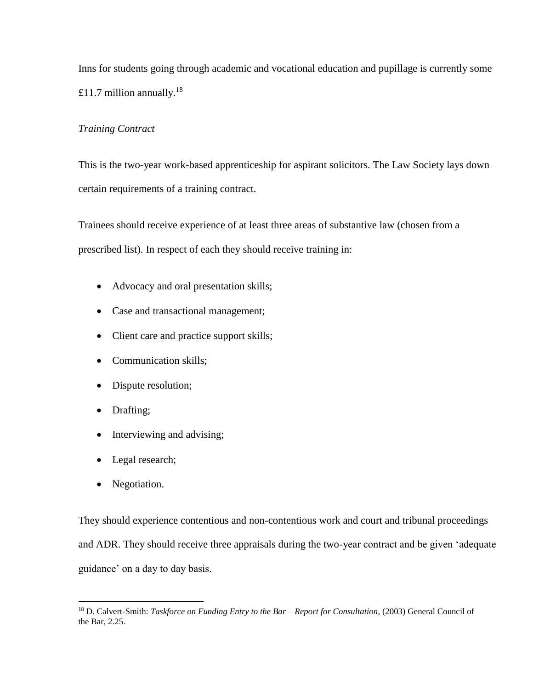Inns for students going through academic and vocational education and pupillage is currently some £11.7 million annually.<sup>18</sup>

# *Training Contract*

This is the two-year work-based apprenticeship for aspirant solicitors. The Law Society lays down certain requirements of a training contract.

Trainees should receive experience of at least three areas of substantive law (chosen from a prescribed list). In respect of each they should receive training in:

- Advocacy and oral presentation skills;
- Case and transactional management;
- Client care and practice support skills;
- Communication skills:
- Dispute resolution;
- Drafting;
- Interviewing and advising;
- Legal research;
- Negotiation.

 $\overline{a}$ 

They should experience contentious and non-contentious work and court and tribunal proceedings and ADR. They should receive three appraisals during the two-year contract and be given 'adequate guidance' on a day to day basis.

<sup>18</sup> D. Calvert-Smith: *Taskforce on Funding Entry to the Bar – Report for Consultation*, (2003) General Council of the Bar, 2.25.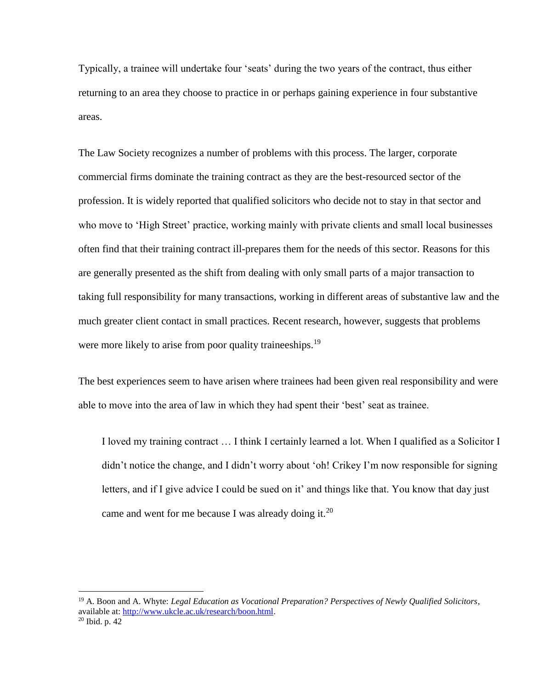Typically, a trainee will undertake four 'seats' during the two years of the contract, thus either returning to an area they choose to practice in or perhaps gaining experience in four substantive areas.

The Law Society recognizes a number of problems with this process. The larger, corporate commercial firms dominate the training contract as they are the best-resourced sector of the profession. It is widely reported that qualified solicitors who decide not to stay in that sector and who move to 'High Street' practice, working mainly with private clients and small local businesses often find that their training contract ill-prepares them for the needs of this sector. Reasons for this are generally presented as the shift from dealing with only small parts of a major transaction to taking full responsibility for many transactions, working in different areas of substantive law and the much greater client contact in small practices. Recent research, however, suggests that problems were more likely to arise from poor quality traineeships.<sup>19</sup>

The best experiences seem to have arisen where trainees had been given real responsibility and were able to move into the area of law in which they had spent their 'best' seat as trainee.

I loved my training contract … I think I certainly learned a lot. When I qualified as a Solicitor I didn't notice the change, and I didn't worry about 'oh! Crikey I'm now responsible for signing letters, and if I give advice I could be sued on it' and things like that. You know that day just came and went for me because I was already doing it.<sup>20</sup>

<sup>19</sup> A. Boon and A. Whyte: *Legal Education as Vocational Preparation? Perspectives of Newly Qualified Solicitors*, available at: [http://www.ukcle.ac.uk/research/boon.html.](http://www.ukcle.ac.uk/research/boon.html) 

 $20$  Ibid. p. 42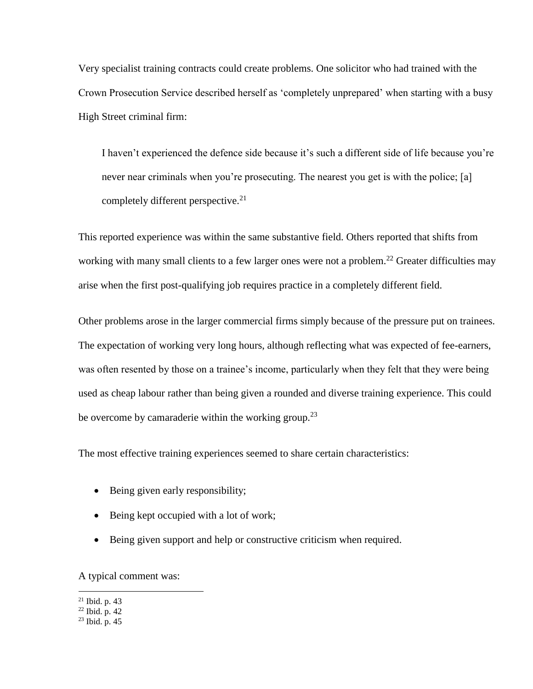Very specialist training contracts could create problems. One solicitor who had trained with the Crown Prosecution Service described herself as 'completely unprepared' when starting with a busy High Street criminal firm:

I haven't experienced the defence side because it's such a different side of life because you're never near criminals when you're prosecuting. The nearest you get is with the police; [a] completely different perspective.<sup>21</sup>

This reported experience was within the same substantive field. Others reported that shifts from working with many small clients to a few larger ones were not a problem.<sup>22</sup> Greater difficulties may arise when the first post-qualifying job requires practice in a completely different field.

Other problems arose in the larger commercial firms simply because of the pressure put on trainees. The expectation of working very long hours, although reflecting what was expected of fee-earners, was often resented by those on a trainee's income, particularly when they felt that they were being used as cheap labour rather than being given a rounded and diverse training experience. This could be overcome by camaraderie within the working group.<sup>23</sup>

The most effective training experiences seemed to share certain characteristics:

- Being given early responsibility;
- Being kept occupied with a lot of work;
- Being given support and help or constructive criticism when required.

A typical comment was:

 $21$  Ibid. p. 43

<sup>22</sup> Ibid. p. 42

 $23$  Ibid. p. 45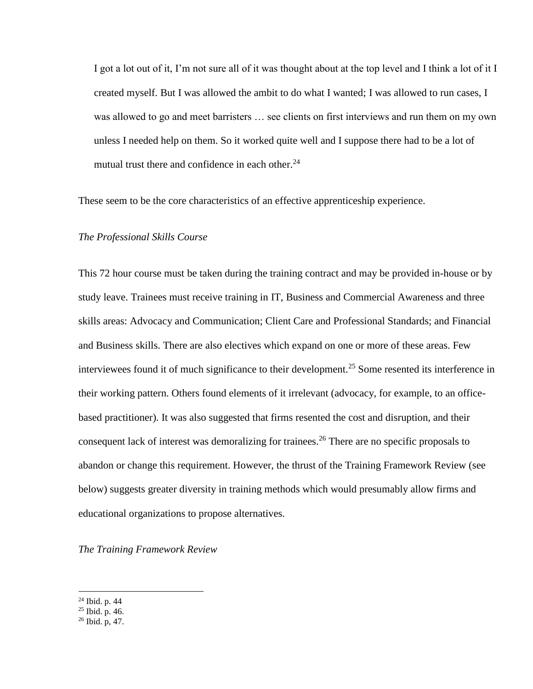I got a lot out of it, I'm not sure all of it was thought about at the top level and I think a lot of it I created myself. But I was allowed the ambit to do what I wanted; I was allowed to run cases, I was allowed to go and meet barristers … see clients on first interviews and run them on my own unless I needed help on them. So it worked quite well and I suppose there had to be a lot of mutual trust there and confidence in each other.<sup>24</sup>

These seem to be the core characteristics of an effective apprenticeship experience.

## *The Professional Skills Course*

This 72 hour course must be taken during the training contract and may be provided in-house or by study leave. Trainees must receive training in IT, Business and Commercial Awareness and three skills areas: Advocacy and Communication; Client Care and Professional Standards; and Financial and Business skills. There are also electives which expand on one or more of these areas. Few interviewees found it of much significance to their development.<sup>25</sup> Some resented its interference in their working pattern. Others found elements of it irrelevant (advocacy, for example, to an officebased practitioner). It was also suggested that firms resented the cost and disruption, and their consequent lack of interest was demoralizing for trainees.<sup>26</sup> There are no specific proposals to abandon or change this requirement. However, the thrust of the Training Framework Review (see below) suggests greater diversity in training methods which would presumably allow firms and educational organizations to propose alternatives.

*The Training Framework Review*

<sup>24</sup> Ibid. p. 44

<sup>25</sup> Ibid. p. 46.

 $^{26}$  Ibid. p, 47.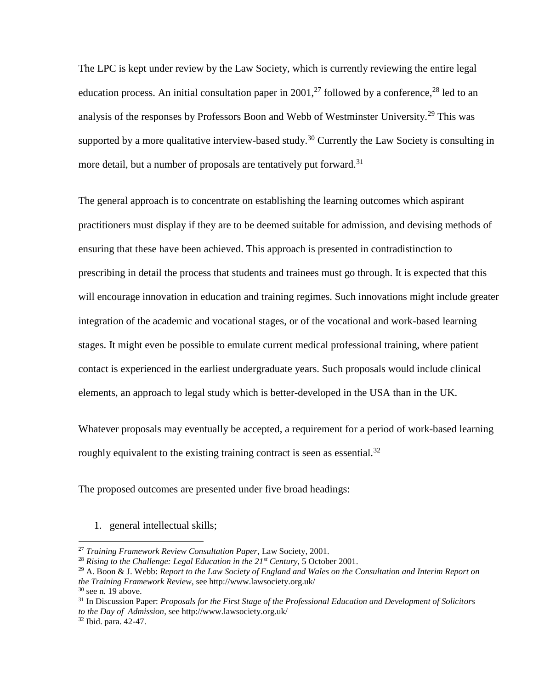The LPC is kept under review by the Law Society, which is currently reviewing the entire legal education process. An initial consultation paper in 2001,<sup>27</sup> followed by a conference,<sup>28</sup> led to an analysis of the responses by Professors Boon and Webb of Westminster University.<sup>29</sup> This was supported by a more qualitative interview-based study.<sup>30</sup> Currently the Law Society is consulting in more detail, but a number of proposals are tentatively put forward.<sup>31</sup>

The general approach is to concentrate on establishing the learning outcomes which aspirant practitioners must display if they are to be deemed suitable for admission, and devising methods of ensuring that these have been achieved. This approach is presented in contradistinction to prescribing in detail the process that students and trainees must go through. It is expected that this will encourage innovation in education and training regimes. Such innovations might include greater integration of the academic and vocational stages, or of the vocational and work-based learning stages. It might even be possible to emulate current medical professional training, where patient contact is experienced in the earliest undergraduate years. Such proposals would include clinical elements, an approach to legal study which is better-developed in the USA than in the UK.

Whatever proposals may eventually be accepted, a requirement for a period of work-based learning roughly equivalent to the existing training contract is seen as essential.<sup>32</sup>

The proposed outcomes are presented under five broad headings:

1. general intellectual skills;

<sup>27</sup> *Training Framework Review Consultation Paper*, Law Society, 2001.

<sup>28</sup> *Rising to the Challenge: Legal Education in the 21st Century*, 5 October 2001.

<sup>29</sup> A. Boon & J. Webb: *Report to the Law Society of England and Wales on the Consultation and Interim Report on the Training Framework Review*, see http://www.lawsociety.org.uk/

 $30$  see n. 19 above.

<sup>31</sup> In Discussion Paper: *Proposals for the First Stage of the Professional Education and Development of Solicitors – to the Day of Admission*, see http://www.lawsociety.org.uk/

<sup>32</sup> Ibid. para. 42-47.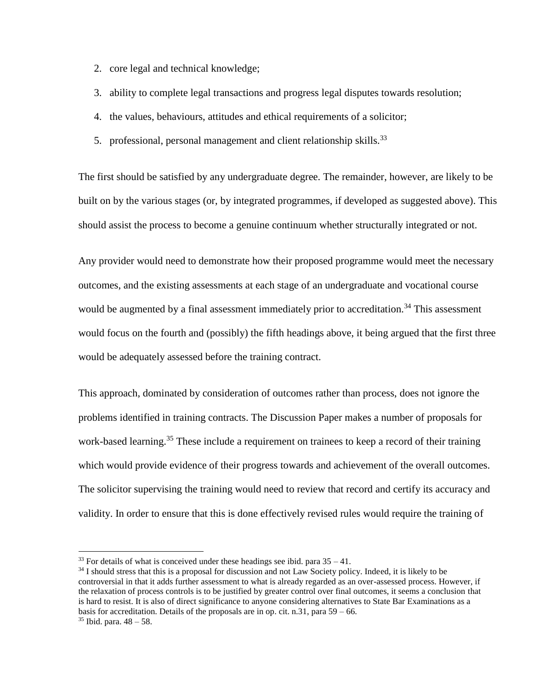- 2. core legal and technical knowledge;
- 3. ability to complete legal transactions and progress legal disputes towards resolution;
- 4. the values, behaviours, attitudes and ethical requirements of a solicitor;
- 5. professional, personal management and client relationship skills.<sup>33</sup>

The first should be satisfied by any undergraduate degree. The remainder, however, are likely to be built on by the various stages (or, by integrated programmes, if developed as suggested above). This should assist the process to become a genuine continuum whether structurally integrated or not.

Any provider would need to demonstrate how their proposed programme would meet the necessary outcomes, and the existing assessments at each stage of an undergraduate and vocational course would be augmented by a final assessment immediately prior to accreditation.<sup>34</sup> This assessment would focus on the fourth and (possibly) the fifth headings above, it being argued that the first three would be adequately assessed before the training contract.

This approach, dominated by consideration of outcomes rather than process, does not ignore the problems identified in training contracts. The Discussion Paper makes a number of proposals for work-based learning.<sup>35</sup> These include a requirement on trainees to keep a record of their training which would provide evidence of their progress towards and achievement of the overall outcomes. The solicitor supervising the training would need to review that record and certify its accuracy and validity. In order to ensure that this is done effectively revised rules would require the training of

 $33$  For details of what is conceived under these headings see ibid. para  $35 - 41$ .

<sup>&</sup>lt;sup>34</sup> I should stress that this is a proposal for discussion and not Law Society policy. Indeed, it is likely to be controversial in that it adds further assessment to what is already regarded as an over-assessed process. However, if the relaxation of process controls is to be justified by greater control over final outcomes, it seems a conclusion that is hard to resist. It is also of direct significance to anyone considering alternatives to State Bar Examinations as a basis for accreditation. Details of the proposals are in op. cit. n.31, para  $59 - 66$ .

 $35$  Ibid. para.  $48 - 58$ .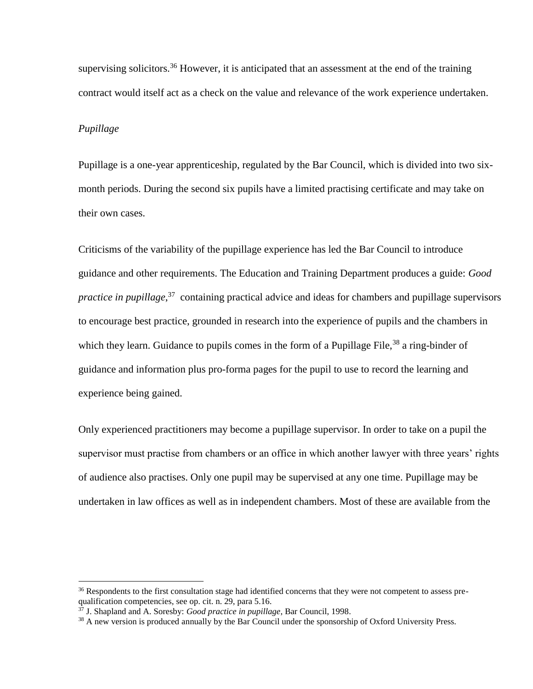supervising solicitors.<sup>36</sup> However, it is anticipated that an assessment at the end of the training contract would itself act as a check on the value and relevance of the work experience undertaken.

## *Pupillage*

 $\overline{a}$ 

Pupillage is a one-year apprenticeship, regulated by the Bar Council, which is divided into two sixmonth periods. During the second six pupils have a limited practising certificate and may take on their own cases.

Criticisms of the variability of the pupillage experience has led the Bar Council to introduce guidance and other requirements. The Education and Training Department produces a guide: *Good practice in pupillage*,<sup>37</sup> containing practical advice and ideas for chambers and pupillage supervisors to encourage best practice, grounded in research into the experience of pupils and the chambers in which they learn. Guidance to pupils comes in the form of a Pupillage File,  $38$  a ring-binder of guidance and information plus pro-forma pages for the pupil to use to record the learning and experience being gained.

Only experienced practitioners may become a pupillage supervisor. In order to take on a pupil the supervisor must practise from chambers or an office in which another lawyer with three years' rights of audience also practises. Only one pupil may be supervised at any one time. Pupillage may be undertaken in law offices as well as in independent chambers. Most of these are available from the

<sup>&</sup>lt;sup>36</sup> Respondents to the first consultation stage had identified concerns that they were not competent to assess prequalification competencies, see op. cit. n. 29, para 5.16.

<sup>37</sup> J. Shapland and A. Soresby: *Good practice in pupillage*, Bar Council, 1998.

 $38$  A new version is produced annually by the Bar Council under the sponsorship of Oxford University Press.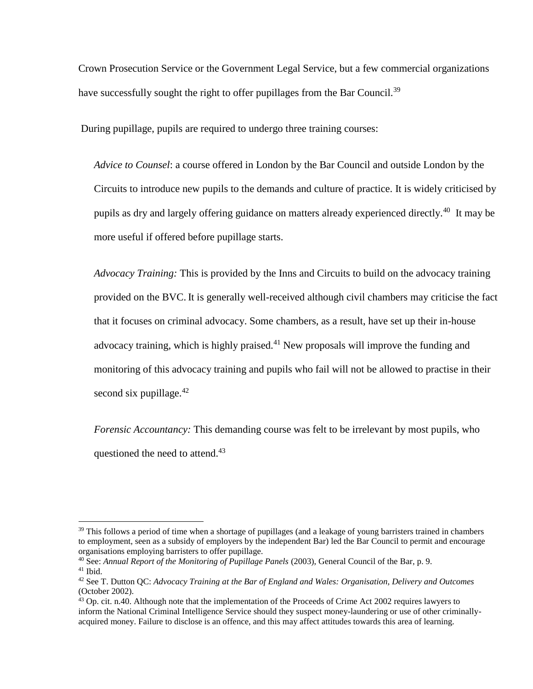Crown Prosecution Service or the Government Legal Service, but a few commercial organizations have successfully sought the right to offer pupillages from the Bar Council.<sup>39</sup>

During pupillage, pupils are required to undergo three training courses:

*Advice to Counsel*: a course offered in London by the Bar Council and outside London by the Circuits to introduce new pupils to the demands and culture of practice. It is widely criticised by pupils as dry and largely offering guidance on matters already experienced directly.<sup>40</sup> It may be more useful if offered before pupillage starts.

*Advocacy Training:* This is provided by the Inns and Circuits to build on the advocacy training provided on the BVC. It is generally well-received although civil chambers may criticise the fact that it focuses on criminal advocacy. Some chambers, as a result, have set up their in-house advocacy training, which is highly praised.<sup>41</sup> New proposals will improve the funding and monitoring of this advocacy training and pupils who fail will not be allowed to practise in their second six pupillage. $42$ 

*Forensic Accountancy:* This demanding course was felt to be irrelevant by most pupils, who questioned the need to attend.<sup>43</sup>

 $39$  This follows a period of time when a shortage of pupillages (and a leakage of young barristers trained in chambers to employment, seen as a subsidy of employers by the independent Bar) led the Bar Council to permit and encourage organisations employing barristers to offer pupillage.

<sup>40</sup> See: *Annual Report of the Monitoring of Pupillage Panels* (2003), General Council of the Bar, p. 9.  $41$  Ibid.

<sup>42</sup> See T. Dutton QC: *Advocacy Training at the Bar of England and Wales: Organisation, Delivery and Outcomes* (October 2002).

<sup>&</sup>lt;sup>43</sup> Op. cit. n.40. Although note that the implementation of the Proceeds of Crime Act 2002 requires lawyers to inform the National Criminal Intelligence Service should they suspect money-laundering or use of other criminallyacquired money. Failure to disclose is an offence, and this may affect attitudes towards this area of learning.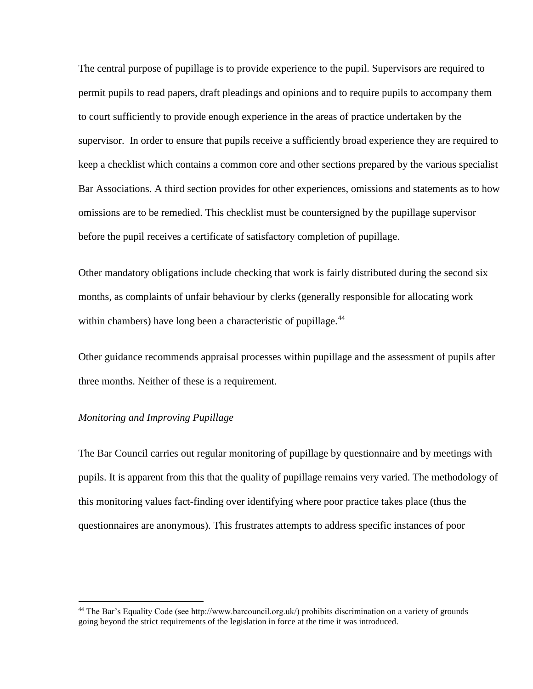The central purpose of pupillage is to provide experience to the pupil. Supervisors are required to permit pupils to read papers, draft pleadings and opinions and to require pupils to accompany them to court sufficiently to provide enough experience in the areas of practice undertaken by the supervisor. In order to ensure that pupils receive a sufficiently broad experience they are required to keep a checklist which contains a common core and other sections prepared by the various specialist Bar Associations. A third section provides for other experiences, omissions and statements as to how omissions are to be remedied. This checklist must be countersigned by the pupillage supervisor before the pupil receives a certificate of satisfactory completion of pupillage.

Other mandatory obligations include checking that work is fairly distributed during the second six months, as complaints of unfair behaviour by clerks (generally responsible for allocating work within chambers) have long been a characteristic of pupillage.<sup>44</sup>

Other guidance recommends appraisal processes within pupillage and the assessment of pupils after three months. Neither of these is a requirement.

# *Monitoring and Improving Pupillage*

 $\overline{a}$ 

The Bar Council carries out regular monitoring of pupillage by questionnaire and by meetings with pupils. It is apparent from this that the quality of pupillage remains very varied. The methodology of this monitoring values fact-finding over identifying where poor practice takes place (thus the questionnaires are anonymous). This frustrates attempts to address specific instances of poor

<sup>&</sup>lt;sup>44</sup> The Bar's Equality Code (see http://www.barcouncil.org.uk/) prohibits discrimination on a variety of grounds going beyond the strict requirements of the legislation in force at the time it was introduced.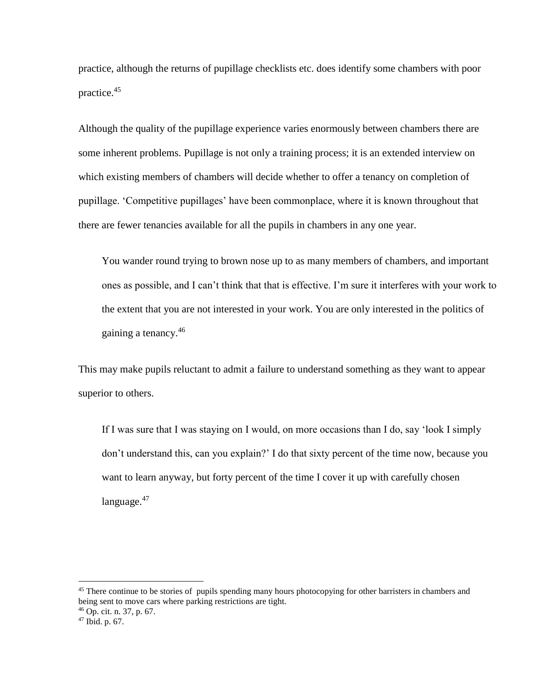practice, although the returns of pupillage checklists etc. does identify some chambers with poor practice.<sup>45</sup>

Although the quality of the pupillage experience varies enormously between chambers there are some inherent problems. Pupillage is not only a training process; it is an extended interview on which existing members of chambers will decide whether to offer a tenancy on completion of pupillage. 'Competitive pupillages' have been commonplace, where it is known throughout that there are fewer tenancies available for all the pupils in chambers in any one year.

You wander round trying to brown nose up to as many members of chambers, and important ones as possible, and I can't think that that is effective. I'm sure it interferes with your work to the extent that you are not interested in your work. You are only interested in the politics of gaining a tenancy.<sup>46</sup>

This may make pupils reluctant to admit a failure to understand something as they want to appear superior to others.

If I was sure that I was staying on I would, on more occasions than I do, say 'look I simply don't understand this, can you explain?' I do that sixty percent of the time now, because you want to learn anyway, but forty percent of the time I cover it up with carefully chosen language. $47$ 

<sup>&</sup>lt;sup>45</sup> There continue to be stories of pupils spending many hours photocopying for other barristers in chambers and being sent to move cars where parking restrictions are tight.

<sup>46</sup> Op. cit. n. 37, p. 67.

<sup>47</sup> Ibid. p. 67.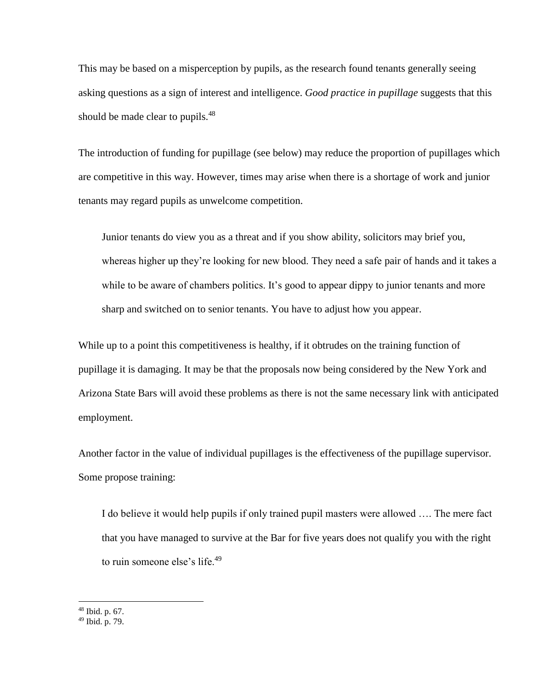This may be based on a misperception by pupils, as the research found tenants generally seeing asking questions as a sign of interest and intelligence. *Good practice in pupillage* suggests that this should be made clear to pupils.<sup>48</sup>

The introduction of funding for pupillage (see below) may reduce the proportion of pupillages which are competitive in this way. However, times may arise when there is a shortage of work and junior tenants may regard pupils as unwelcome competition.

Junior tenants do view you as a threat and if you show ability, solicitors may brief you, whereas higher up they're looking for new blood. They need a safe pair of hands and it takes a while to be aware of chambers politics. It's good to appear dippy to junior tenants and more sharp and switched on to senior tenants. You have to adjust how you appear.

While up to a point this competitiveness is healthy, if it obtrudes on the training function of pupillage it is damaging. It may be that the proposals now being considered by the New York and Arizona State Bars will avoid these problems as there is not the same necessary link with anticipated employment.

Another factor in the value of individual pupillages is the effectiveness of the pupillage supervisor. Some propose training:

I do believe it would help pupils if only trained pupil masters were allowed …. The mere fact that you have managed to survive at the Bar for five years does not qualify you with the right to ruin someone else's life.<sup>49</sup>

<sup>48</sup> Ibid. p. 67.

<sup>49</sup> Ibid. p. 79.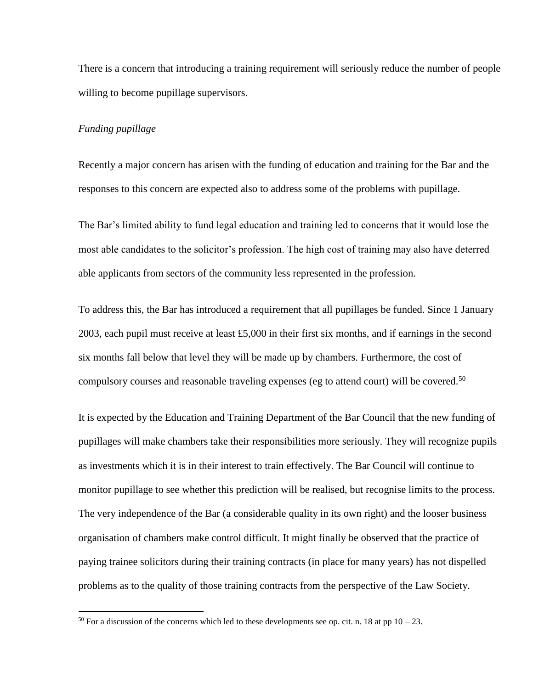There is a concern that introducing a training requirement will seriously reduce the number of people willing to become pupillage supervisors.

## *Funding pupillage*

 $\overline{a}$ 

Recently a major concern has arisen with the funding of education and training for the Bar and the responses to this concern are expected also to address some of the problems with pupillage.

The Bar's limited ability to fund legal education and training led to concerns that it would lose the most able candidates to the solicitor's profession. The high cost of training may also have deterred able applicants from sectors of the community less represented in the profession.

To address this, the Bar has introduced a requirement that all pupillages be funded. Since 1 January 2003, each pupil must receive at least £5,000 in their first six months, and if earnings in the second six months fall below that level they will be made up by chambers. Furthermore, the cost of compulsory courses and reasonable traveling expenses (eg to attend court) will be covered.<sup>50</sup>

It is expected by the Education and Training Department of the Bar Council that the new funding of pupillages will make chambers take their responsibilities more seriously. They will recognize pupils as investments which it is in their interest to train effectively. The Bar Council will continue to monitor pupillage to see whether this prediction will be realised, but recognise limits to the process. The very independence of the Bar (a considerable quality in its own right) and the looser business organisation of chambers make control difficult. It might finally be observed that the practice of paying trainee solicitors during their training contracts (in place for many years) has not dispelled problems as to the quality of those training contracts from the perspective of the Law Society.

<sup>&</sup>lt;sup>50</sup> For a discussion of the concerns which led to these developments see op. cit. n. 18 at pp  $10 - 23$ .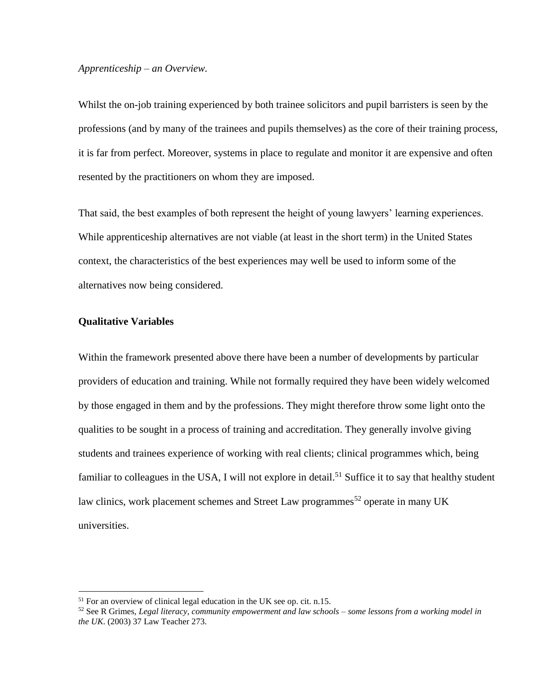## *Apprenticeship – an Overview.*

Whilst the on-job training experienced by both trainee solicitors and pupil barristers is seen by the professions (and by many of the trainees and pupils themselves) as the core of their training process, it is far from perfect. Moreover, systems in place to regulate and monitor it are expensive and often resented by the practitioners on whom they are imposed.

That said, the best examples of both represent the height of young lawyers' learning experiences. While apprenticeship alternatives are not viable (at least in the short term) in the United States context, the characteristics of the best experiences may well be used to inform some of the alternatives now being considered.

## **Qualitative Variables**

 $\overline{a}$ 

Within the framework presented above there have been a number of developments by particular providers of education and training. While not formally required they have been widely welcomed by those engaged in them and by the professions. They might therefore throw some light onto the qualities to be sought in a process of training and accreditation. They generally involve giving students and trainees experience of working with real clients; clinical programmes which, being familiar to colleagues in the USA, I will not explore in detail.<sup>51</sup> Suffice it to say that healthy student law clinics, work placement schemes and Street Law programmes<sup>52</sup> operate in many UK universities.

<sup>51</sup> For an overview of clinical legal education in the UK see op. cit. n.15.

<sup>52</sup> See R Grimes, *Legal literacy, community empowerment and law schools – some lessons from a working model in the UK*. (2003) 37 Law Teacher 273.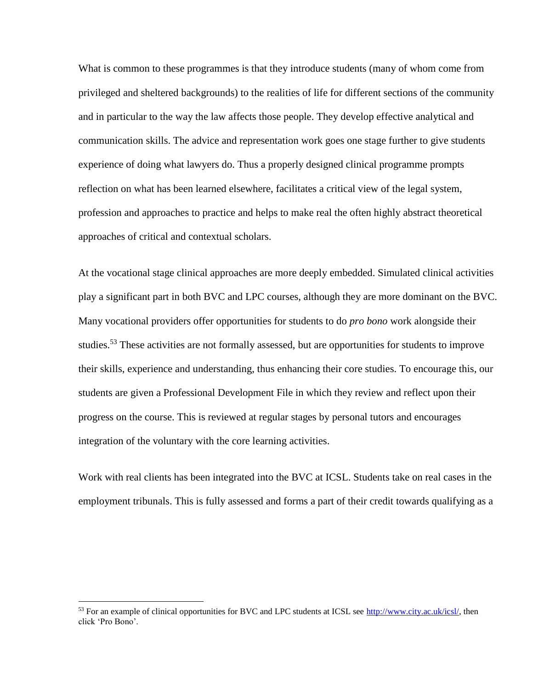What is common to these programmes is that they introduce students (many of whom come from privileged and sheltered backgrounds) to the realities of life for different sections of the community and in particular to the way the law affects those people. They develop effective analytical and communication skills. The advice and representation work goes one stage further to give students experience of doing what lawyers do. Thus a properly designed clinical programme prompts reflection on what has been learned elsewhere, facilitates a critical view of the legal system, profession and approaches to practice and helps to make real the often highly abstract theoretical approaches of critical and contextual scholars.

At the vocational stage clinical approaches are more deeply embedded. Simulated clinical activities play a significant part in both BVC and LPC courses, although they are more dominant on the BVC. Many vocational providers offer opportunities for students to do *pro bono* work alongside their studies.<sup>53</sup> These activities are not formally assessed, but are opportunities for students to improve their skills, experience and understanding, thus enhancing their core studies. To encourage this, our students are given a Professional Development File in which they review and reflect upon their progress on the course. This is reviewed at regular stages by personal tutors and encourages integration of the voluntary with the core learning activities.

Work with real clients has been integrated into the BVC at ICSL. Students take on real cases in the employment tribunals. This is fully assessed and forms a part of their credit towards qualifying as a

<sup>&</sup>lt;sup>53</sup> For an example of clinical opportunities for BVC and LPC students at ICSL see [http://www.city.ac.uk/icsl/,](http://www.city.ac.uk/icsl/) then click 'Pro Bono'.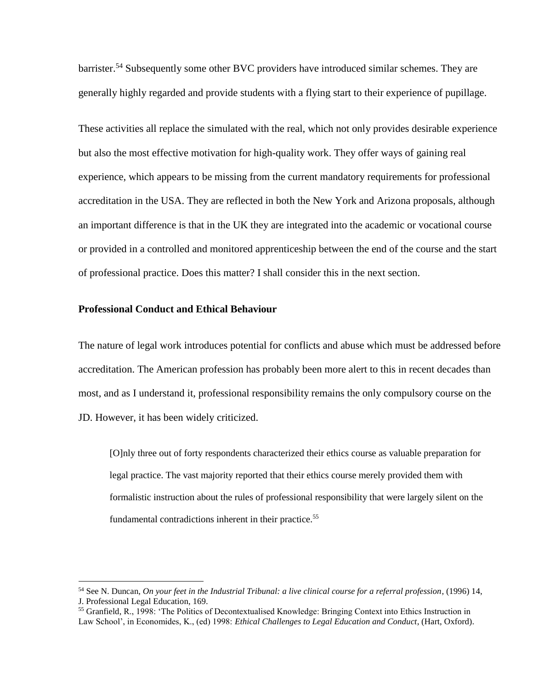barrister.<sup>54</sup> Subsequently some other BVC providers have introduced similar schemes. They are generally highly regarded and provide students with a flying start to their experience of pupillage.

These activities all replace the simulated with the real, which not only provides desirable experience but also the most effective motivation for high-quality work. They offer ways of gaining real experience, which appears to be missing from the current mandatory requirements for professional accreditation in the USA. They are reflected in both the New York and Arizona proposals, although an important difference is that in the UK they are integrated into the academic or vocational course or provided in a controlled and monitored apprenticeship between the end of the course and the start of professional practice. Does this matter? I shall consider this in the next section.

## **Professional Conduct and Ethical Behaviour**

 $\overline{a}$ 

The nature of legal work introduces potential for conflicts and abuse which must be addressed before accreditation. The American profession has probably been more alert to this in recent decades than most, and as I understand it, professional responsibility remains the only compulsory course on the JD. However, it has been widely criticized.

[O]nly three out of forty respondents characterized their ethics course as valuable preparation for legal practice. The vast majority reported that their ethics course merely provided them with formalistic instruction about the rules of professional responsibility that were largely silent on the fundamental contradictions inherent in their practice.<sup>55</sup>

<sup>54</sup> See N. Duncan, *On your feet in the Industrial Tribunal: a live clinical course for a referral profession*, (1996) 14, J. Professional Legal Education, 169.

<sup>55</sup> Granfield, R., 1998: 'The Politics of Decontextualised Knowledge: Bringing Context into Ethics Instruction in Law School', in Economides, K., (ed) 1998: *Ethical Challenges to Legal Education and Conduct*, (Hart, Oxford).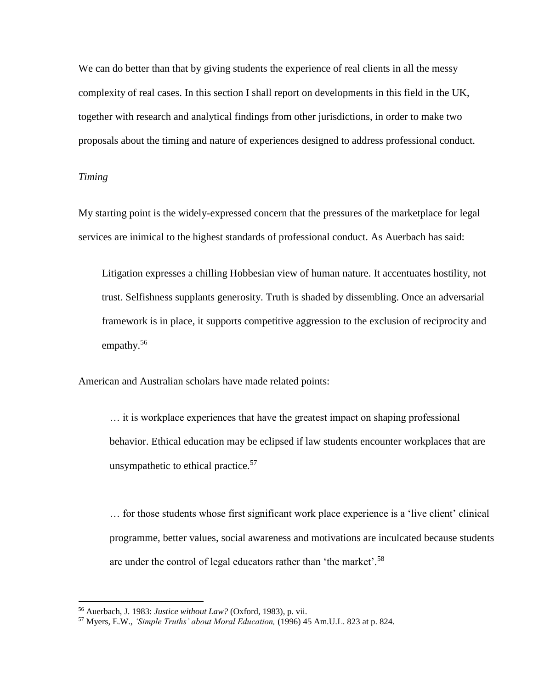We can do better than that by giving students the experience of real clients in all the messy complexity of real cases. In this section I shall report on developments in this field in the UK, together with research and analytical findings from other jurisdictions, in order to make two proposals about the timing and nature of experiences designed to address professional conduct.

## *Timing*

 $\overline{a}$ 

My starting point is the widely-expressed concern that the pressures of the marketplace for legal services are inimical to the highest standards of professional conduct. As Auerbach has said:

Litigation expresses a chilling Hobbesian view of human nature. It accentuates hostility, not trust. Selfishness supplants generosity. Truth is shaded by dissembling. Once an adversarial framework is in place, it supports competitive aggression to the exclusion of reciprocity and empathy.<sup>56</sup>

American and Australian scholars have made related points:

… it is workplace experiences that have the greatest impact on shaping professional behavior. Ethical education may be eclipsed if law students encounter workplaces that are unsympathetic to ethical practice. $57$ 

… for those students whose first significant work place experience is a 'live client' clinical programme, better values, social awareness and motivations are inculcated because students are under the control of legal educators rather than 'the market'.<sup>58</sup>

<sup>56</sup> Auerbach, J. 1983: *Justice without Law?* (Oxford, 1983), p. vii.

<sup>57</sup> Myers, E.W., *'Simple Truths' about Moral Education,* (1996) 45 Am.U.L. 823 at p. 824.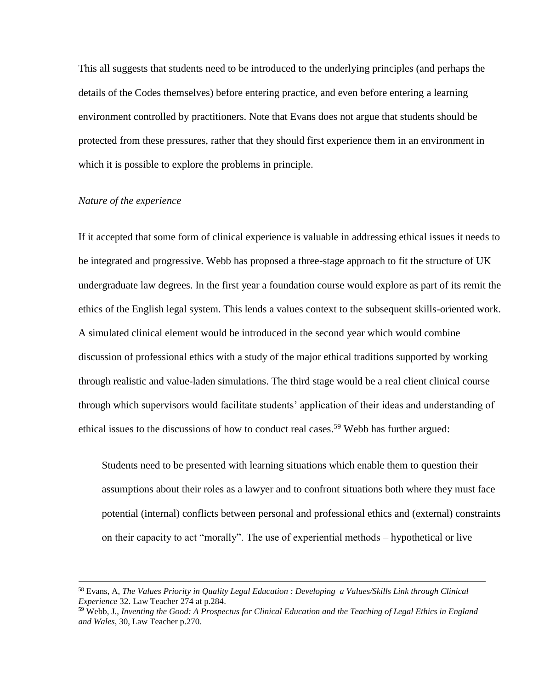This all suggests that students need to be introduced to the underlying principles (and perhaps the details of the Codes themselves) before entering practice, and even before entering a learning environment controlled by practitioners. Note that Evans does not argue that students should be protected from these pressures, rather that they should first experience them in an environment in which it is possible to explore the problems in principle.

## *Nature of the experience*

 $\overline{a}$ 

If it accepted that some form of clinical experience is valuable in addressing ethical issues it needs to be integrated and progressive. Webb has proposed a three-stage approach to fit the structure of UK undergraduate law degrees. In the first year a foundation course would explore as part of its remit the ethics of the English legal system. This lends a values context to the subsequent skills-oriented work. A simulated clinical element would be introduced in the second year which would combine discussion of professional ethics with a study of the major ethical traditions supported by working through realistic and value-laden simulations. The third stage would be a real client clinical course through which supervisors would facilitate students' application of their ideas and understanding of ethical issues to the discussions of how to conduct real cases.<sup>59</sup> Webb has further argued:

Students need to be presented with learning situations which enable them to question their assumptions about their roles as a lawyer and to confront situations both where they must face potential (internal) conflicts between personal and professional ethics and (external) constraints on their capacity to act "morally". The use of experiential methods – hypothetical or live

<sup>58</sup> Evans, A, *The Values Priority in Quality Legal Education : Developing a Values/Skills Link through Clinical Experience* 32. Law Teacher 274 at p.284.

<sup>59</sup> Webb, J., *Inventing the Good: A Prospectus for Clinical Education and the Teaching of Legal Ethics in England and Wales*, 30, Law Teacher p.270.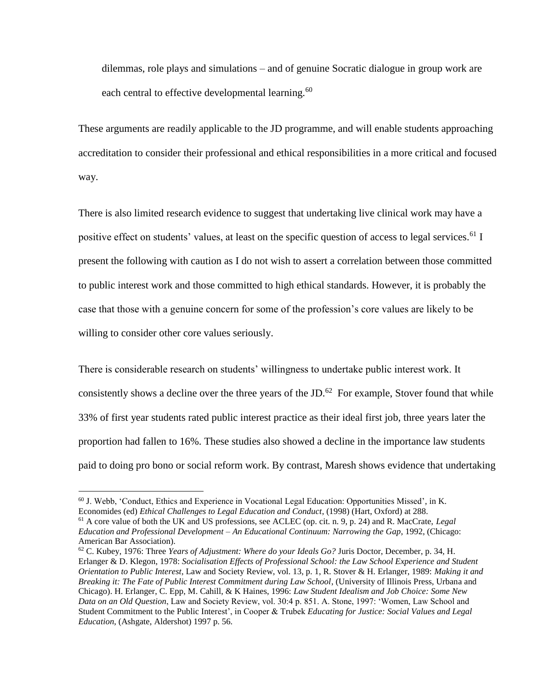dilemmas, role plays and simulations – and of genuine Socratic dialogue in group work are each central to effective developmental learning.<sup>60</sup>

These arguments are readily applicable to the JD programme, and will enable students approaching accreditation to consider their professional and ethical responsibilities in a more critical and focused way.

There is also limited research evidence to suggest that undertaking live clinical work may have a positive effect on students' values, at least on the specific question of access to legal services.<sup>61</sup> I present the following with caution as I do not wish to assert a correlation between those committed to public interest work and those committed to high ethical standards. However, it is probably the case that those with a genuine concern for some of the profession's core values are likely to be willing to consider other core values seriously.

There is considerable research on students' willingness to undertake public interest work. It consistently shows a decline over the three years of the JD. $62$  For example, Stover found that while 33% of first year students rated public interest practice as their ideal first job, three years later the proportion had fallen to 16%. These studies also showed a decline in the importance law students paid to doing pro bono or social reform work. By contrast, Maresh shows evidence that undertaking

 $60$  J. Webb, 'Conduct, Ethics and Experience in Vocational Legal Education: Opportunities Missed', in K. Economides (ed) *Ethical Challenges to Legal Education and Conduct*, (1998) (Hart, Oxford) at 288.

<sup>61</sup> A core value of both the UK and US professions, see ACLEC (op. cit. n. 9, p. 24) and R. MacCrate, *Legal Education and Professional Development – An Educational Continuum: Narrowing the Gap*, 1992, (Chicago: American Bar Association).

<sup>62</sup> C. Kubey, 1976: Three *Years of Adjustment: Where do your Ideals Go?* Juris Doctor, December, p. 34, H. Erlanger & D. Klegon, 1978: *Socialisation Effects of Professional School: the Law School Experience and Student Orientation to Public Interest*, Law and Society Review, vol. 13, p. 1, R. Stover & H. Erlanger, 1989: *Making it and Breaking it: The Fate of Public Interest Commitment during Law School*, (University of Illinois Press, Urbana and Chicago). H. Erlanger, C. Epp, M. Cahill, & K Haines, 1996: *Law Student Idealism and Job Choice: Some New Data on an Old Question*, Law and Society Review, vol. 30:4 p. 851. A. Stone, 1997: 'Women, Law School and Student Commitment to the Public Interest', in Cooper & Trubek *Educating for Justice: Social Values and Legal Education*, (Ashgate, Aldershot) 1997 p. 56.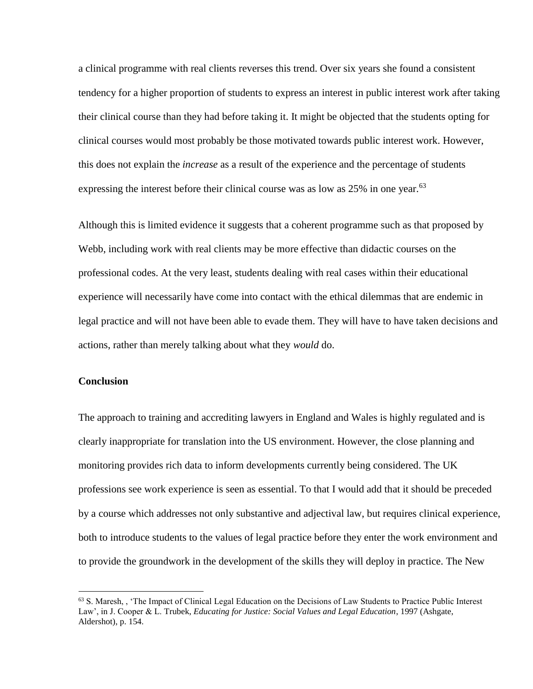a clinical programme with real clients reverses this trend. Over six years she found a consistent tendency for a higher proportion of students to express an interest in public interest work after taking their clinical course than they had before taking it. It might be objected that the students opting for clinical courses would most probably be those motivated towards public interest work. However, this does not explain the *increase* as a result of the experience and the percentage of students expressing the interest before their clinical course was as low as 25% in one year.<sup>63</sup>

Although this is limited evidence it suggests that a coherent programme such as that proposed by Webb, including work with real clients may be more effective than didactic courses on the professional codes. At the very least, students dealing with real cases within their educational experience will necessarily have come into contact with the ethical dilemmas that are endemic in legal practice and will not have been able to evade them. They will have to have taken decisions and actions, rather than merely talking about what they *would* do.

### **Conclusion**

 $\overline{a}$ 

The approach to training and accrediting lawyers in England and Wales is highly regulated and is clearly inappropriate for translation into the US environment. However, the close planning and monitoring provides rich data to inform developments currently being considered. The UK professions see work experience is seen as essential. To that I would add that it should be preceded by a course which addresses not only substantive and adjectival law, but requires clinical experience, both to introduce students to the values of legal practice before they enter the work environment and to provide the groundwork in the development of the skills they will deploy in practice. The New

<sup>63</sup> S. Maresh, , 'The Impact of Clinical Legal Education on the Decisions of Law Students to Practice Public Interest Law', in J. Cooper & L. Trubek, *Educating for Justice: Social Values and Legal Education*, 1997 (Ashgate, Aldershot), p. 154.